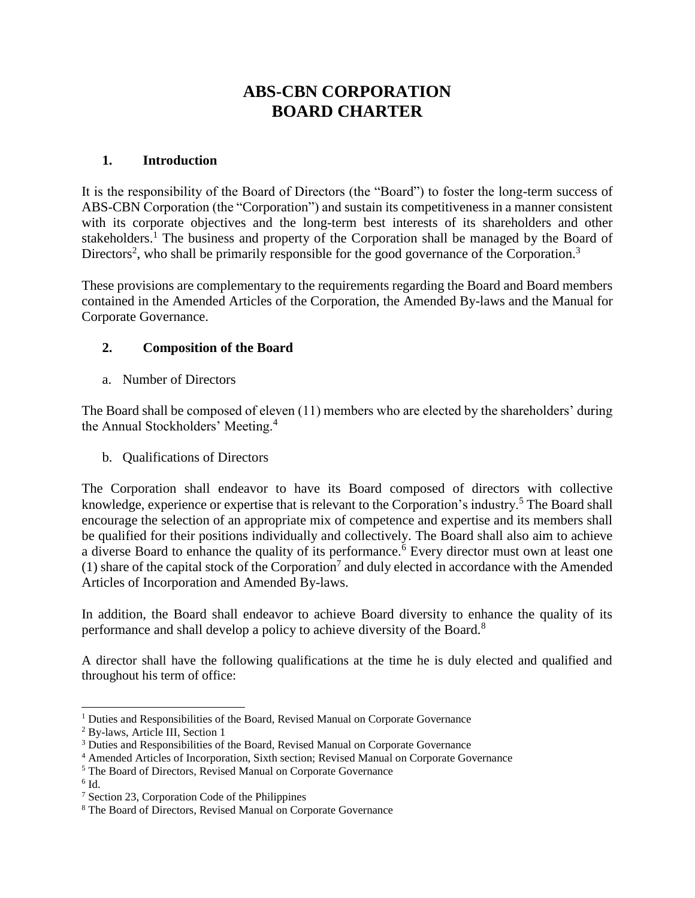# **ABS-CBN CORPORATION BOARD CHARTER**

#### **1. Introduction**

It is the responsibility of the Board of Directors (the "Board") to foster the long-term success of ABS-CBN Corporation (the "Corporation") and sustain its competitiveness in a manner consistent with its corporate objectives and the long-term best interests of its shareholders and other stakeholders.<sup>1</sup> The business and property of the Corporation shall be managed by the Board of Directors<sup>2</sup>, who shall be primarily responsible for the good governance of the Corporation.<sup>3</sup>

These provisions are complementary to the requirements regarding the Board and Board members contained in the Amended Articles of the Corporation, the Amended By-laws and the Manual for Corporate Governance.

## **2. Composition of the Board**

a. Number of Directors

The Board shall be composed of eleven (11) members who are elected by the shareholders' during the Annual Stockholders' Meeting.<sup>4</sup>

b. Qualifications of Directors

The Corporation shall endeavor to have its Board composed of directors with collective knowledge, experience or expertise that is relevant to the Corporation's industry.<sup>5</sup> The Board shall encourage the selection of an appropriate mix of competence and expertise and its members shall be qualified for their positions individually and collectively. The Board shall also aim to achieve a diverse Board to enhance the quality of its performance.<sup>6</sup> Every director must own at least one (1) share of the capital stock of the Corporation<sup>7</sup> and duly elected in accordance with the Amended Articles of Incorporation and Amended By-laws.

In addition, the Board shall endeavor to achieve Board diversity to enhance the quality of its performance and shall develop a policy to achieve diversity of the Board.<sup>8</sup>

A director shall have the following qualifications at the time he is duly elected and qualified and throughout his term of office:

<sup>&</sup>lt;sup>1</sup> Duties and Responsibilities of the Board, Revised Manual on Corporate Governance

<sup>2</sup> By-laws, Article III, Section 1

<sup>&</sup>lt;sup>3</sup> Duties and Responsibilities of the Board, Revised Manual on Corporate Governance

<sup>4</sup> Amended Articles of Incorporation, Sixth section; Revised Manual on Corporate Governance

<sup>5</sup> The Board of Directors, Revised Manual on Corporate Governance

 $6$  Id.

<sup>7</sup> Section 23, Corporation Code of the Philippines

<sup>8</sup> The Board of Directors, Revised Manual on Corporate Governance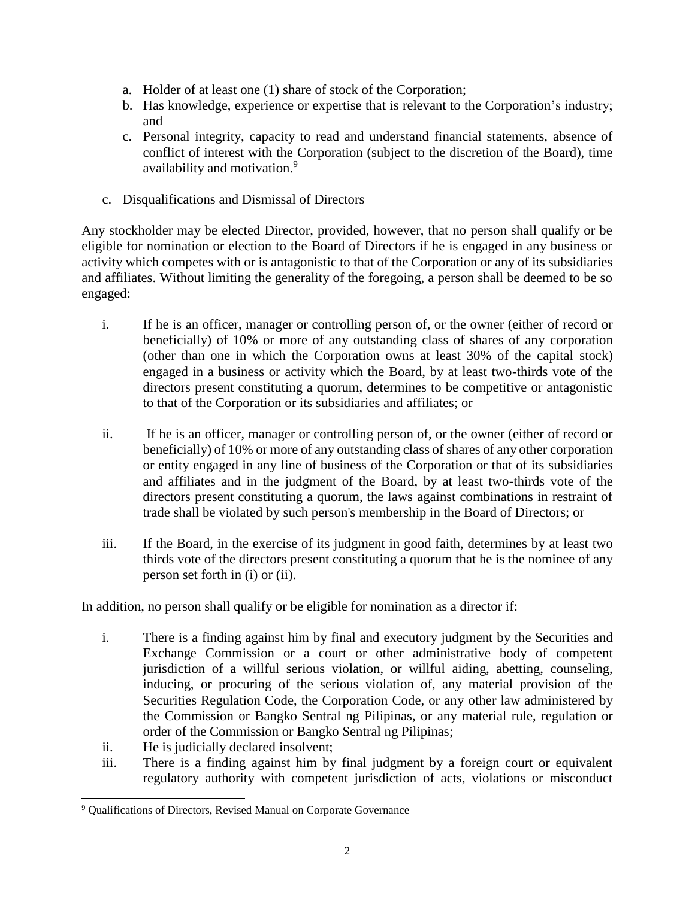- a. Holder of at least one (1) share of stock of the Corporation;
- b. Has knowledge, experience or expertise that is relevant to the Corporation's industry; and
- c. Personal integrity, capacity to read and understand financial statements, absence of conflict of interest with the Corporation (subject to the discretion of the Board), time availability and motivation.<sup>9</sup>
- c. Disqualifications and Dismissal of Directors

Any stockholder may be elected Director, provided, however, that no person shall qualify or be eligible for nomination or election to the Board of Directors if he is engaged in any business or activity which competes with or is antagonistic to that of the Corporation or any of its subsidiaries and affiliates. Without limiting the generality of the foregoing, a person shall be deemed to be so engaged:

- i. If he is an officer, manager or controlling person of, or the owner (either of record or beneficially) of 10% or more of any outstanding class of shares of any corporation (other than one in which the Corporation owns at least 30% of the capital stock) engaged in a business or activity which the Board, by at least two-thirds vote of the directors present constituting a quorum, determines to be competitive or antagonistic to that of the Corporation or its subsidiaries and affiliates; or
- ii. If he is an officer, manager or controlling person of, or the owner (either of record or beneficially) of 10% or more of any outstanding class of shares of any other corporation or entity engaged in any line of business of the Corporation or that of its subsidiaries and affiliates and in the judgment of the Board, by at least two-thirds vote of the directors present constituting a quorum, the laws against combinations in restraint of trade shall be violated by such person's membership in the Board of Directors; or
- iii. If the Board, in the exercise of its judgment in good faith, determines by at least two thirds vote of the directors present constituting a quorum that he is the nominee of any person set forth in (i) or (ii).

In addition, no person shall qualify or be eligible for nomination as a director if:

- i. There is a finding against him by final and executory judgment by the Securities and Exchange Commission or a court or other administrative body of competent jurisdiction of a willful serious violation, or willful aiding, abetting, counseling, inducing, or procuring of the serious violation of, any material provision of the Securities Regulation Code, the Corporation Code, or any other law administered by the Commission or Bangko Sentral ng Pilipinas, or any material rule, regulation or order of the Commission or Bangko Sentral ng Pilipinas;
- ii. He is judicially declared insolvent;

l

iii. There is a finding against him by final judgment by a foreign court or equivalent regulatory authority with competent jurisdiction of acts, violations or misconduct

<sup>&</sup>lt;sup>9</sup> Qualifications of Directors, Revised Manual on Corporate Governance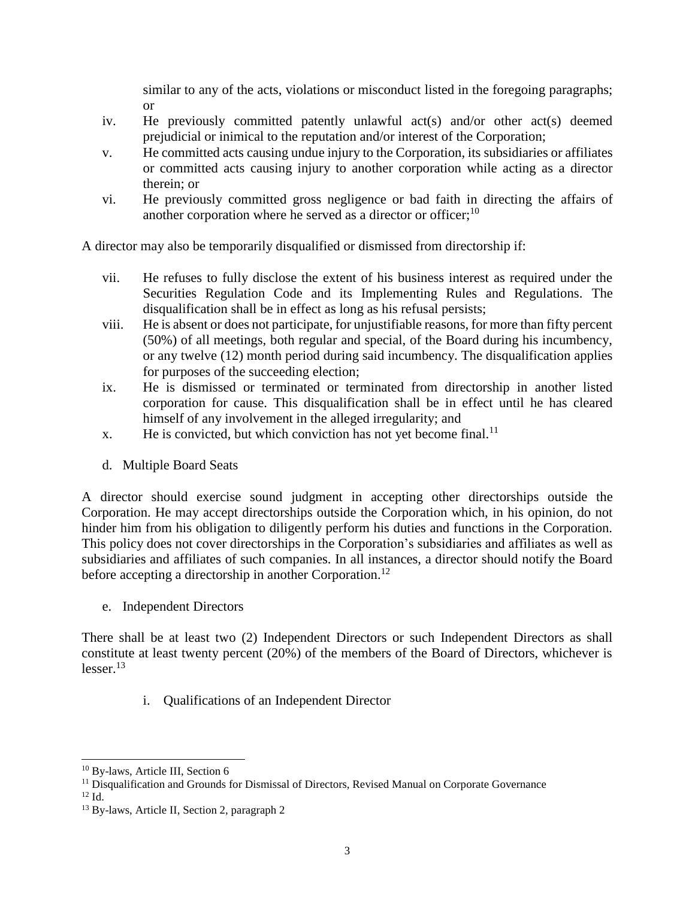similar to any of the acts, violations or misconduct listed in the foregoing paragraphs; or

- iv. He previously committed patently unlawful act(s) and/or other act(s) deemed prejudicial or inimical to the reputation and/or interest of the Corporation;
- v. He committed acts causing undue injury to the Corporation, its subsidiaries or affiliates or committed acts causing injury to another corporation while acting as a director therein; or
- vi. He previously committed gross negligence or bad faith in directing the affairs of another corporation where he served as a director or officer; $^{10}$

A director may also be temporarily disqualified or dismissed from directorship if:

- vii. He refuses to fully disclose the extent of his business interest as required under the Securities Regulation Code and its Implementing Rules and Regulations. The disqualification shall be in effect as long as his refusal persists;
- viii. He is absent or does not participate, for unjustifiable reasons, for more than fifty percent (50%) of all meetings, both regular and special, of the Board during his incumbency, or any twelve (12) month period during said incumbency. The disqualification applies for purposes of the succeeding election;
- ix. He is dismissed or terminated or terminated from directorship in another listed corporation for cause. This disqualification shall be in effect until he has cleared himself of any involvement in the alleged irregularity; and
- x. He is convicted, but which conviction has not yet become final.<sup>11</sup>
- d. Multiple Board Seats

A director should exercise sound judgment in accepting other directorships outside the Corporation. He may accept directorships outside the Corporation which, in his opinion, do not hinder him from his obligation to diligently perform his duties and functions in the Corporation. This policy does not cover directorships in the Corporation's subsidiaries and affiliates as well as subsidiaries and affiliates of such companies. In all instances, a director should notify the Board before accepting a directorship in another Corporation.<sup>12</sup>

e. Independent Directors

There shall be at least two (2) Independent Directors or such Independent Directors as shall constitute at least twenty percent (20%) of the members of the Board of Directors, whichever is  $lesser.<sup>13</sup>$ 

i. Qualifications of an Independent Director

 $12$  Id.

<sup>&</sup>lt;sup>10</sup> By-laws, Article III, Section 6

<sup>&</sup>lt;sup>11</sup> Disqualification and Grounds for Dismissal of Directors, Revised Manual on Corporate Governance

<sup>13</sup> By-laws, Article II, Section 2, paragraph 2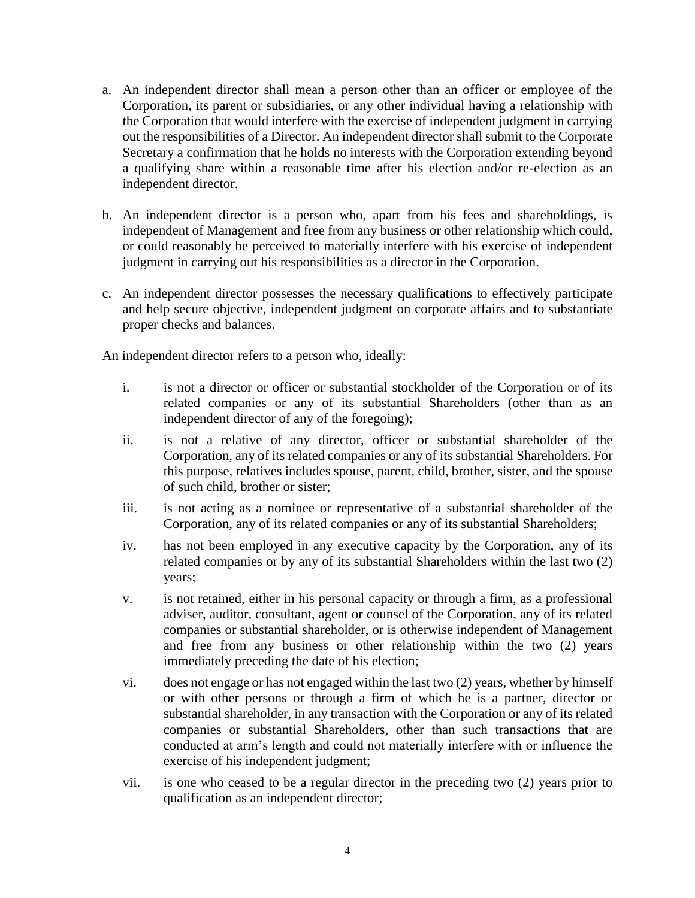- a. An independent director shall mean a person other than an officer or employee of the Corporation, its parent or subsidiaries, or any other individual having a relationship with the Corporation that would interfere with the exercise of independent judgment in carrying out the responsibilities of a Director. An independent director shall submit to the Corporate Secretary a confirmation that he holds no interests with the Corporation extending beyond a qualifying share within a reasonable time after his election and/or re-election as an independent director.
- b. An independent director is a person who, apart from his fees and shareholdings, is independent of Management and free from any business or other relationship which could, or could reasonably be perceived to materially interfere with his exercise of independent judgment in carrying out his responsibilities as a director in the Corporation.
- c. An independent director possesses the necessary qualifications to effectively participate and help secure objective, independent judgment on corporate affairs and to substantiate proper checks and balances.

An independent director refers to a person who, ideally:

- i. is not a director or officer or substantial stockholder of the Corporation or of its related companies or any of its substantial Shareholders (other than as an independent director of any of the foregoing);
- ii. is not a relative of any director, officer or substantial shareholder of the Corporation, any of its related companies or any of its substantial Shareholders. For this purpose, relatives includes spouse, parent, child, brother, sister, and the spouse of such child, brother or sister;
- iii. is not acting as a nominee or representative of a substantial shareholder of the Corporation, any of its related companies or any of its substantial Shareholders;
- iv. has not been employed in any executive capacity by the Corporation, any of its related companies or by any of its substantial Shareholders within the last two (2) years;
- v. is not retained, either in his personal capacity or through a firm, as a professional adviser, auditor, consultant, agent or counsel of the Corporation, any of its related companies or substantial shareholder, or is otherwise independent of Management and free from any business or other relationship within the two (2) years immediately preceding the date of his election;
- vi. does not engage or has not engaged within the last two (2) years, whether by himself or with other persons or through a firm of which he is a partner, director or substantial shareholder, in any transaction with the Corporation or any of its related companies or substantial Shareholders, other than such transactions that are conducted at arm's length and could not materially interfere with or influence the exercise of his independent judgment;
- vii. is one who ceased to be a regular director in the preceding two (2) years prior to qualification as an independent director;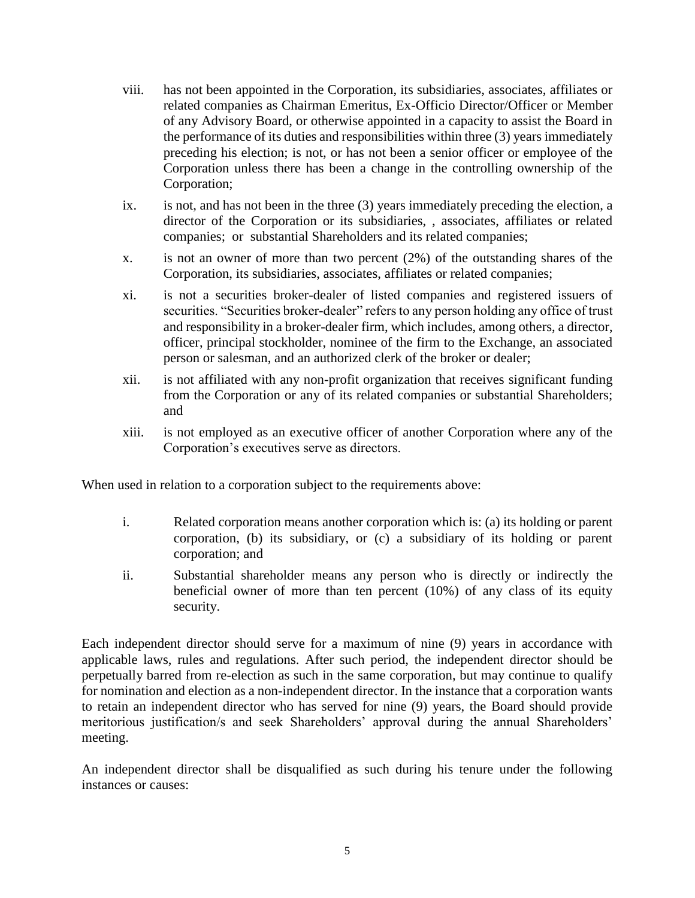- viii. has not been appointed in the Corporation, its subsidiaries, associates, affiliates or related companies as Chairman Emeritus, Ex-Officio Director/Officer or Member of any Advisory Board, or otherwise appointed in a capacity to assist the Board in the performance of its duties and responsibilities within three (3) years immediately preceding his election; is not, or has not been a senior officer or employee of the Corporation unless there has been a change in the controlling ownership of the Corporation;
- ix. is not, and has not been in the three (3) years immediately preceding the election, a director of the Corporation or its subsidiaries, , associates, affiliates or related companies; or substantial Shareholders and its related companies;
- x. is not an owner of more than two percent (2%) of the outstanding shares of the Corporation, its subsidiaries, associates, affiliates or related companies;
- xi. is not a securities broker-dealer of listed companies and registered issuers of securities. "Securities broker-dealer" refers to any person holding any office of trust and responsibility in a broker-dealer firm, which includes, among others, a director, officer, principal stockholder, nominee of the firm to the Exchange, an associated person or salesman, and an authorized clerk of the broker or dealer;
- xii. is not affiliated with any non-profit organization that receives significant funding from the Corporation or any of its related companies or substantial Shareholders; and
- xiii. is not employed as an executive officer of another Corporation where any of the Corporation's executives serve as directors.

When used in relation to a corporation subject to the requirements above:

- i. Related corporation means another corporation which is: (a) its holding or parent corporation, (b) its subsidiary, or (c) a subsidiary of its holding or parent corporation; and
- ii. Substantial shareholder means any person who is directly or indirectly the beneficial owner of more than ten percent (10%) of any class of its equity security.

Each independent director should serve for a maximum of nine (9) years in accordance with applicable laws, rules and regulations. After such period, the independent director should be perpetually barred from re-election as such in the same corporation, but may continue to qualify for nomination and election as a non-independent director. In the instance that a corporation wants to retain an independent director who has served for nine (9) years, the Board should provide meritorious justification/s and seek Shareholders' approval during the annual Shareholders' meeting.

An independent director shall be disqualified as such during his tenure under the following instances or causes: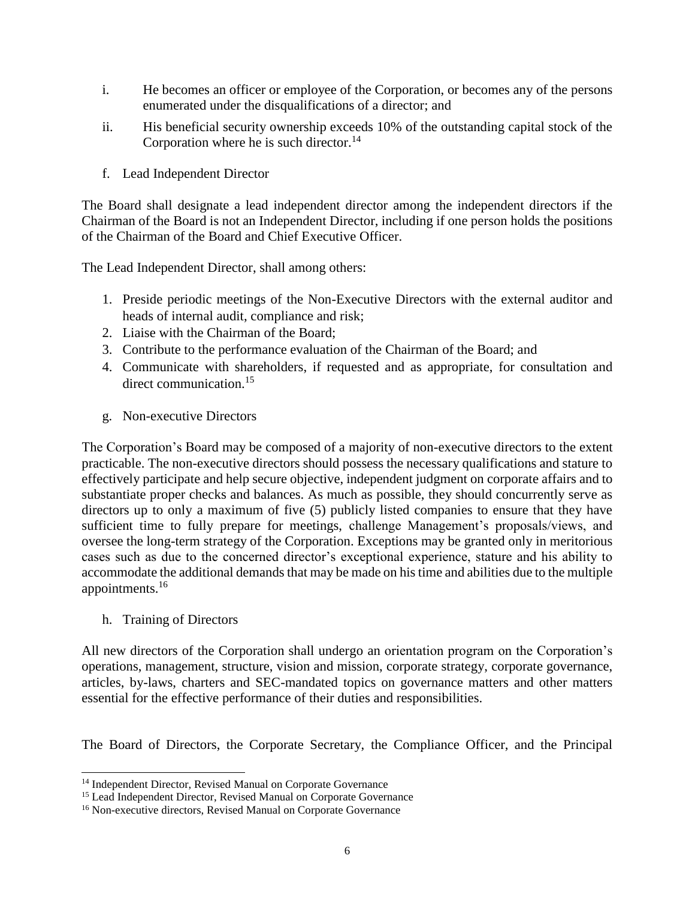- i. He becomes an officer or employee of the Corporation, or becomes any of the persons enumerated under the disqualifications of a director; and
- ii. His beneficial security ownership exceeds 10% of the outstanding capital stock of the Corporation where he is such director.<sup>14</sup>
- f. Lead Independent Director

The Board shall designate a lead independent director among the independent directors if the Chairman of the Board is not an Independent Director, including if one person holds the positions of the Chairman of the Board and Chief Executive Officer.

The Lead Independent Director, shall among others:

- 1. Preside periodic meetings of the Non-Executive Directors with the external auditor and heads of internal audit, compliance and risk;
- 2. Liaise with the Chairman of the Board;
- 3. Contribute to the performance evaluation of the Chairman of the Board; and
- 4. Communicate with shareholders, if requested and as appropriate, for consultation and direct communication.<sup>15</sup>
- g. Non-executive Directors

The Corporation's Board may be composed of a majority of non-executive directors to the extent practicable. The non-executive directors should possess the necessary qualifications and stature to effectively participate and help secure objective, independent judgment on corporate affairs and to substantiate proper checks and balances. As much as possible, they should concurrently serve as directors up to only a maximum of five (5) publicly listed companies to ensure that they have sufficient time to fully prepare for meetings, challenge Management's proposals/views, and oversee the long-term strategy of the Corporation. Exceptions may be granted only in meritorious cases such as due to the concerned director's exceptional experience, stature and his ability to accommodate the additional demands that may be made on his time and abilities due to the multiple appointments.<sup>16</sup>

h. Training of Directors

l

All new directors of the Corporation shall undergo an orientation program on the Corporation's operations, management, structure, vision and mission, corporate strategy, corporate governance, articles, by-laws, charters and SEC-mandated topics on governance matters and other matters essential for the effective performance of their duties and responsibilities.

The Board of Directors, the Corporate Secretary, the Compliance Officer, and the Principal

<sup>&</sup>lt;sup>14</sup> Independent Director, Revised Manual on Corporate Governance

<sup>&</sup>lt;sup>15</sup> Lead Independent Director, Revised Manual on Corporate Governance

<sup>&</sup>lt;sup>16</sup> Non-executive directors, Revised Manual on Corporate Governance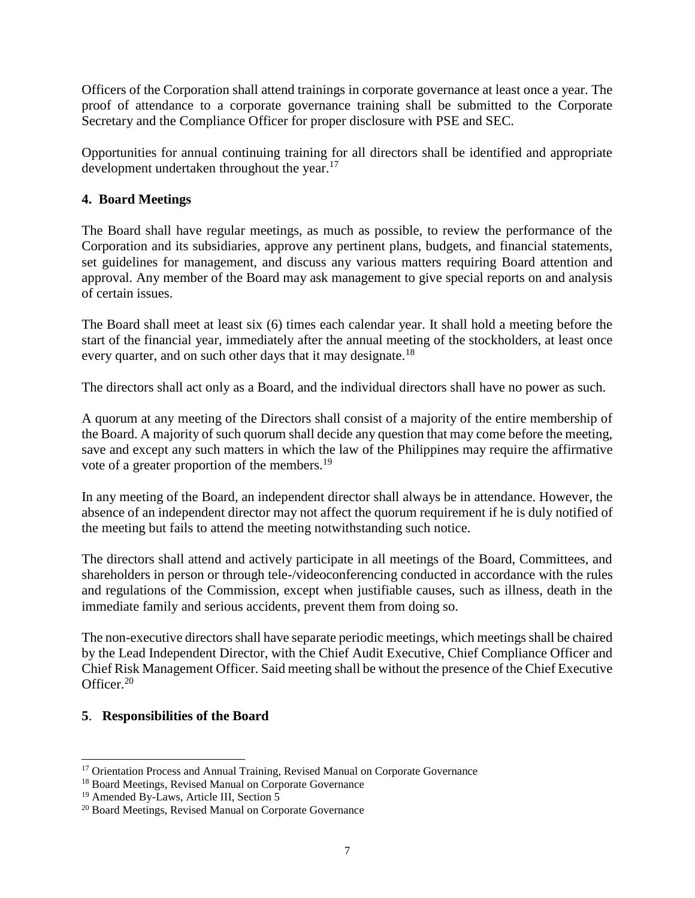Officers of the Corporation shall attend trainings in corporate governance at least once a year. The proof of attendance to a corporate governance training shall be submitted to the Corporate Secretary and the Compliance Officer for proper disclosure with PSE and SEC.

Opportunities for annual continuing training for all directors shall be identified and appropriate development undertaken throughout the year.<sup>17</sup>

## **4. Board Meetings**

The Board shall have regular meetings, as much as possible, to review the performance of the Corporation and its subsidiaries, approve any pertinent plans, budgets, and financial statements, set guidelines for management, and discuss any various matters requiring Board attention and approval. Any member of the Board may ask management to give special reports on and analysis of certain issues.

The Board shall meet at least six (6) times each calendar year. It shall hold a meeting before the start of the financial year, immediately after the annual meeting of the stockholders, at least once every quarter, and on such other days that it may designate.<sup>18</sup>

The directors shall act only as a Board, and the individual directors shall have no power as such.

A quorum at any meeting of the Directors shall consist of a majority of the entire membership of the Board. A majority of such quorum shall decide any question that may come before the meeting, save and except any such matters in which the law of the Philippines may require the affirmative vote of a greater proportion of the members.<sup>19</sup>

In any meeting of the Board, an independent director shall always be in attendance. However, the absence of an independent director may not affect the quorum requirement if he is duly notified of the meeting but fails to attend the meeting notwithstanding such notice.

The directors shall attend and actively participate in all meetings of the Board, Committees, and shareholders in person or through tele-/videoconferencing conducted in accordance with the rules and regulations of the Commission, except when justifiable causes, such as illness, death in the immediate family and serious accidents, prevent them from doing so.

The non-executive directors shall have separate periodic meetings, which meetings shall be chaired by the Lead Independent Director, with the Chief Audit Executive, Chief Compliance Officer and Chief Risk Management Officer. Said meeting shall be without the presence of the Chief Executive Officer.<sup>20</sup>

## **5**. **Responsibilities of the Board**

<sup>&</sup>lt;sup>17</sup> Orientation Process and Annual Training, Revised Manual on Corporate Governance

<sup>&</sup>lt;sup>18</sup> Board Meetings, Revised Manual on Corporate Governance

<sup>&</sup>lt;sup>19</sup> Amended By-Laws, Article III, Section 5

<sup>20</sup> Board Meetings, Revised Manual on Corporate Governance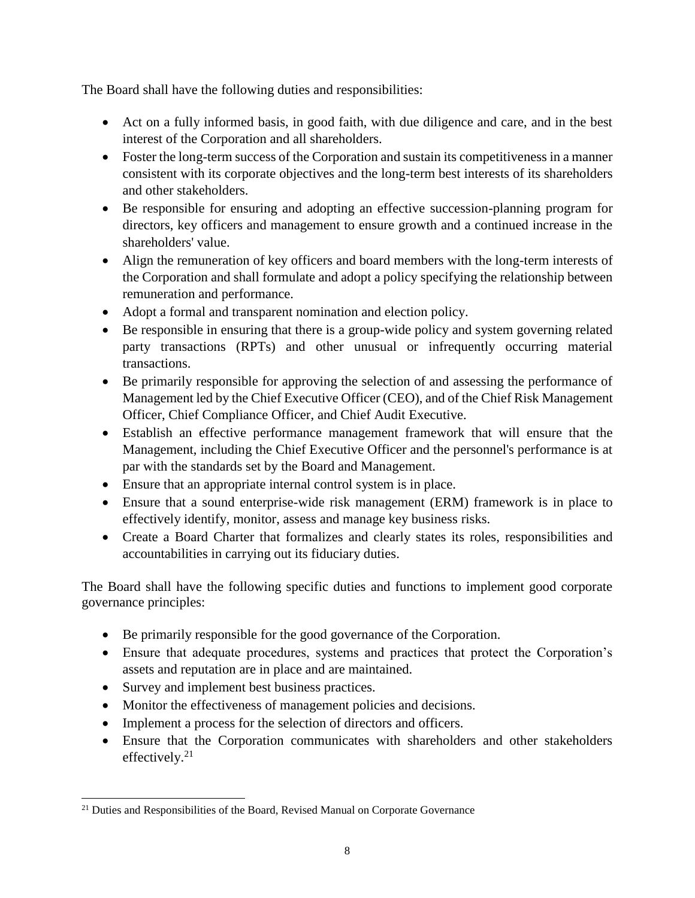The Board shall have the following duties and responsibilities:

- Act on a fully informed basis, in good faith, with due diligence and care, and in the best interest of the Corporation and all shareholders.
- Foster the long-term success of the Corporation and sustain its competitiveness in a manner consistent with its corporate objectives and the long-term best interests of its shareholders and other stakeholders.
- Be responsible for ensuring and adopting an effective succession-planning program for directors, key officers and management to ensure growth and a continued increase in the shareholders' value.
- Align the remuneration of key officers and board members with the long-term interests of the Corporation and shall formulate and adopt a policy specifying the relationship between remuneration and performance.
- Adopt a formal and transparent nomination and election policy.
- Be responsible in ensuring that there is a group-wide policy and system governing related party transactions (RPTs) and other unusual or infrequently occurring material transactions.
- Be primarily responsible for approving the selection of and assessing the performance of Management led by the Chief Executive Officer (CEO), and of the Chief Risk Management Officer, Chief Compliance Officer, and Chief Audit Executive.
- Establish an effective performance management framework that will ensure that the Management, including the Chief Executive Officer and the personnel's performance is at par with the standards set by the Board and Management.
- Ensure that an appropriate internal control system is in place.
- Ensure that a sound enterprise-wide risk management (ERM) framework is in place to effectively identify, monitor, assess and manage key business risks.
- Create a Board Charter that formalizes and clearly states its roles, responsibilities and accountabilities in carrying out its fiduciary duties.

The Board shall have the following specific duties and functions to implement good corporate governance principles:

- Be primarily responsible for the good governance of the Corporation.
- Ensure that adequate procedures, systems and practices that protect the Corporation's assets and reputation are in place and are maintained.
- Survey and implement best business practices.
- Monitor the effectiveness of management policies and decisions.
- Implement a process for the selection of directors and officers.
- Ensure that the Corporation communicates with shareholders and other stakeholders effectively. $21$

l <sup>21</sup> Duties and Responsibilities of the Board, Revised Manual on Corporate Governance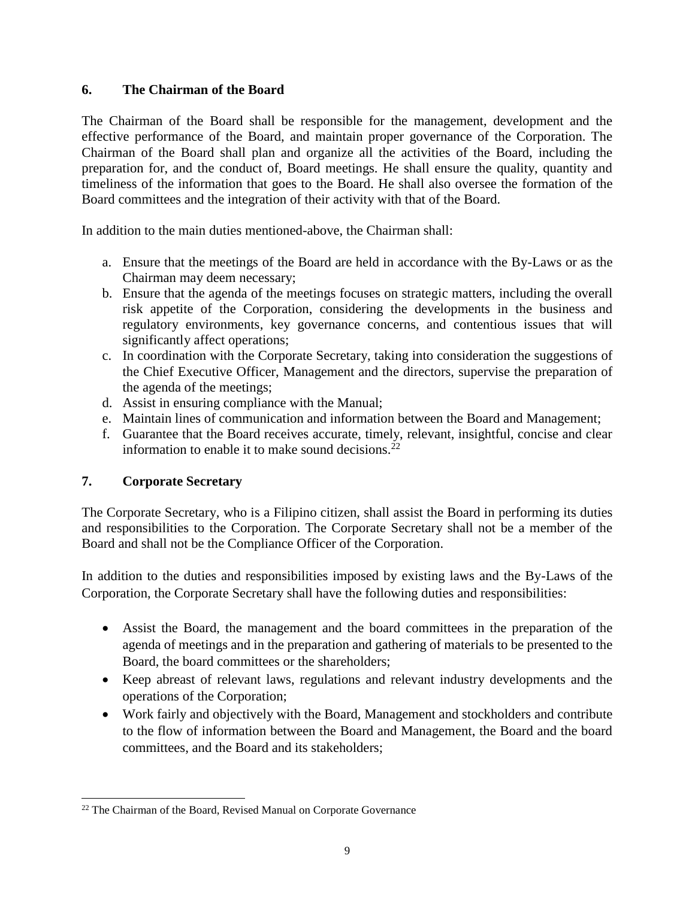## **6. The Chairman of the Board**

The Chairman of the Board shall be responsible for the management, development and the effective performance of the Board, and maintain proper governance of the Corporation. The Chairman of the Board shall plan and organize all the activities of the Board, including the preparation for, and the conduct of, Board meetings. He shall ensure the quality, quantity and timeliness of the information that goes to the Board. He shall also oversee the formation of the Board committees and the integration of their activity with that of the Board.

In addition to the main duties mentioned-above, the Chairman shall:

- a. Ensure that the meetings of the Board are held in accordance with the By-Laws or as the Chairman may deem necessary;
- b. Ensure that the agenda of the meetings focuses on strategic matters, including the overall risk appetite of the Corporation, considering the developments in the business and regulatory environments, key governance concerns, and contentious issues that will significantly affect operations;
- c. In coordination with the Corporate Secretary, taking into consideration the suggestions of the Chief Executive Officer, Management and the directors, supervise the preparation of the agenda of the meetings;
- d. Assist in ensuring compliance with the Manual;
- e. Maintain lines of communication and information between the Board and Management;
- f. Guarantee that the Board receives accurate, timely, relevant, insightful, concise and clear information to enable it to make sound decisions.<sup>22</sup>

## **7. Corporate Secretary**

The Corporate Secretary, who is a Filipino citizen, shall assist the Board in performing its duties and responsibilities to the Corporation. The Corporate Secretary shall not be a member of the Board and shall not be the Compliance Officer of the Corporation.

In addition to the duties and responsibilities imposed by existing laws and the By-Laws of the Corporation, the Corporate Secretary shall have the following duties and responsibilities:

- Assist the Board, the management and the board committees in the preparation of the agenda of meetings and in the preparation and gathering of materials to be presented to the Board, the board committees or the shareholders;
- Keep abreast of relevant laws, regulations and relevant industry developments and the operations of the Corporation;
- Work fairly and objectively with the Board, Management and stockholders and contribute to the flow of information between the Board and Management, the Board and the board committees, and the Board and its stakeholders;

l <sup>22</sup> The Chairman of the Board, Revised Manual on Corporate Governance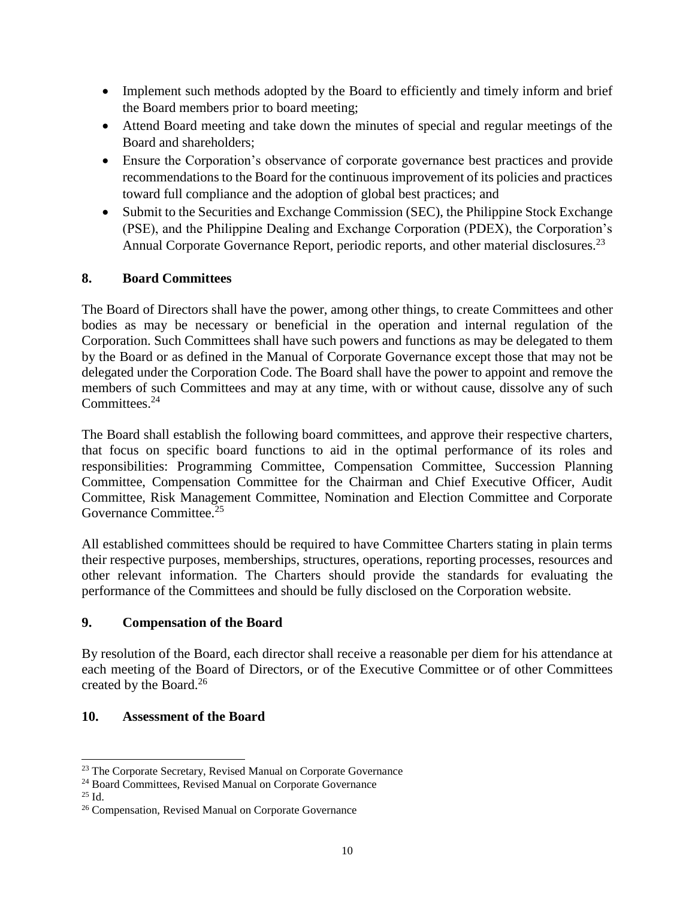- Implement such methods adopted by the Board to efficiently and timely inform and brief the Board members prior to board meeting;
- Attend Board meeting and take down the minutes of special and regular meetings of the Board and shareholders;
- Ensure the Corporation's observance of corporate governance best practices and provide recommendations to the Board for the continuous improvement of its policies and practices toward full compliance and the adoption of global best practices; and
- Submit to the Securities and Exchange Commission (SEC), the Philippine Stock Exchange (PSE), and the Philippine Dealing and Exchange Corporation (PDEX), the Corporation's Annual Corporate Governance Report, periodic reports, and other material disclosures.<sup>23</sup>

## **8. Board Committees**

The Board of Directors shall have the power, among other things, to create Committees and other bodies as may be necessary or beneficial in the operation and internal regulation of the Corporation. Such Committees shall have such powers and functions as may be delegated to them by the Board or as defined in the Manual of Corporate Governance except those that may not be delegated under the Corporation Code. The Board shall have the power to appoint and remove the members of such Committees and may at any time, with or without cause, dissolve any of such Committees.<sup>24</sup>

The Board shall establish the following board committees, and approve their respective charters, that focus on specific board functions to aid in the optimal performance of its roles and responsibilities: Programming Committee, Compensation Committee, Succession Planning Committee, Compensation Committee for the Chairman and Chief Executive Officer, Audit Committee, Risk Management Committee, Nomination and Election Committee and Corporate Governance Committee.<sup>25</sup>

All established committees should be required to have Committee Charters stating in plain terms their respective purposes, memberships, structures, operations, reporting processes, resources and other relevant information. The Charters should provide the standards for evaluating the performance of the Committees and should be fully disclosed on the Corporation website.

## **9. Compensation of the Board**

By resolution of the Board, each director shall receive a reasonable per diem for his attendance at each meeting of the Board of Directors, or of the Executive Committee or of other Committees created by the Board.<sup>26</sup>

## **10. Assessment of the Board**

 $^{25}$  Id.

 $23$  The Corporate Secretary, Revised Manual on Corporate Governance

<sup>&</sup>lt;sup>24</sup> Board Committees, Revised Manual on Corporate Governance

<sup>26</sup> Compensation, Revised Manual on Corporate Governance